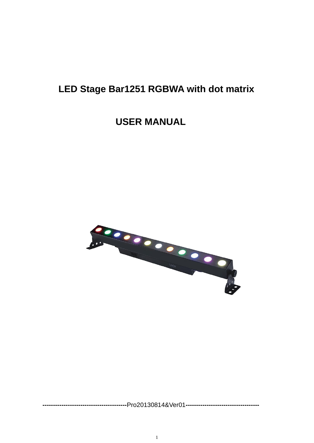# **LED Stage Bar1251 RGBWA with dot matrix**

# **USER MANUAL**



 **----------------------------------------**Pro20130814&Ver01**-----------------------------------**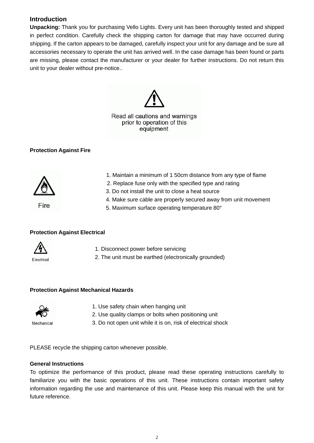# **Introduction**

**Unpacking:** Thank you for purchasing Vello Lights. Every unit has been thoroughly tested and shipped in perfect condition. Carefully check the shipping carton for damage that may have occurred during shipping. If the carton appears to be damaged, carefully inspect your unit for any damage and be sure all accessories necessary to operate the unit has arrived well. In the case damage has been found or parts are missing, please contact the manufacturer or your dealer for further instructions. Do not return this unit to your dealer without pre-notice..



#### Read all cautions and warnings prior to operation of this equipment

# **Protection Against Fire**



1. Maintain a minimum of 1 50cm distance from any type of flame

- 2. Replace fuse only with the specified type and rating
- 3. Do not install the unit to close a heat source
- 4. Make sure cable are properly secured away from unit movement
- 5. Maximum surface operating temperature 80°

# **Protection Against Electrical**



- 1. Disconnect power before servicing
- 2. The unit must be earthed (electronically grounded)

# **Protection Against Mechanical Hazards**



- 1. Use safety chain when hanging unit
- 2. Use quality clamps or bolts when positioning unit
- 3. Do not open unit while it is on, risk of electrical shock

PLEASE recycle the shipping carton whenever possible.

# **General Instructions**

To optimize the performance of this product, please read these operating instructions carefully to familiarize you with the basic operations of this unit. These instructions contain important safety information regarding the use and maintenance of this unit. Please keep this manual with the unit for future reference.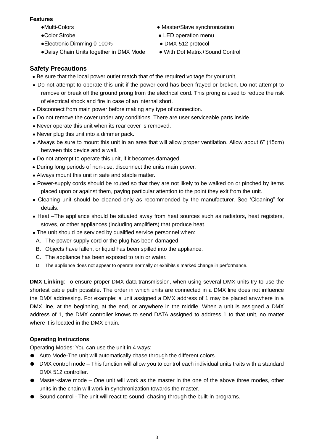# **Features**

- 
- 
- ●Electronic Dimming 0-100% DMX-512 protocol
- ●Daisy Chain Units together in DMX Mode With Dot Matrix+Sound Control
- ●Multi-Colors Master/Slave synchronization
- Color Strobe ● LED operation menu
	-
	-

# **Safety Precautions**

- Be sure that the local power outlet match that of the required voltage for your unit,
- Do not attempt to operate this unit if the power cord has been frayed or broken. Do not attempt to remove or break off the ground prong from the electrical cord. This prong is used to reduce the risk of electrical shock and fire in case of an internal short.
- Disconnect from main power before making any type of connection.
- Do not remove the cover under any conditions. There are user serviceable parts inside.
- Never operate this unit when its rear cover is removed.
- Never plug this unit into a dimmer pack.
- Always be sure to mount this unit in an area that will allow proper ventilation. Allow about 6" (15cm) between this device and a wall.
- Do not attempt to operate this unit, if it becomes damaged.
- During long periods of non-use, disconnect the units main power.
- Always mount this unit in safe and stable matter.
- Power-supply cords should be routed so that they are not likely to be walked on or pinched by items placed upon or against them, paying particular attention to the point they exit from the unit.
- Cleaning unit should be cleaned only as recommended by the manufacturer. See 'Cleaning" for details.
- Heat –The appliance should be situated away from heat sources such as radiators, heat registers, stoves, or other appliances (including amplifiers) that produce heat.
- The unit should be serviced by qualified service personnel when:
- A. The power-supply cord or the plug has been damaged.
- B. Objects have fallen, or liquid has been spilled into the appliance.
- C. The appliance has been exposed to rain or water.
- D. The appliance does not appear to operate normally or exhibits s marked change in performance.

**DMX Linking**: To ensure proper DMX data transmission, when using several DMX units try to use the shortest cable path possible. The order in which units are connected in a DMX line does not influence the DMX addressing. For example; a unit assigned a DMX address of 1 may be placed anywhere in a DMX line, at the beginning, at the end, or anywhere in the middle. When a unit is assigned a DMX address of 1, the DMX controller knows to send DATA assigned to address 1 to that unit, no matter where it is located in the DMX chain.

# **Operating Instructions**

Operating Modes: You can use the unit in 4 ways:

- Auto Mode-The unit will automatically chase through the different colors.
- DMX control mode This function will allow you to control each individual units traits with a standard DMX 512 controller.
- Master-slave mode One unit will work as the master in the one of the above three modes, other units in the chain will work in synchronization towards the master.
- Sound control The unit will react to sound, chasing through the built-in programs.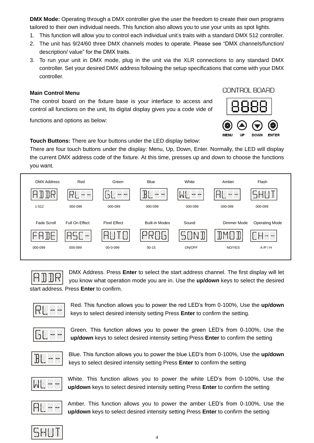**DMX Mode:** Operating through a DMX controller give the user the freedom to create their own programs tailored to their own individual needs. This function also allows you to use your units as spot lights.

- 1. This function will allow you to control each individual unit's traits with a standard DMX 512 controller.
- 2. The unit has 9/24/60 three DMX channels modes to operate. Please see "DMX channels/function/ description/ value" for the DMX traits.
- 3. To run your unit in DMX mode, plug in the unit via the XLR connections to any standard DMX controller. Set your desired DMX address following the setup specifications that come with your DMX controller.

# **Main Control Menu**

The control board on the fixture base is your interface to access and control all functions on the unit, Its digital display gives you a code vide of

functions and options as below:



**Touch Buttons:** There are four buttons under the LED display below:

There are four touch buttons under the display: Menu, Up, Down, Enter. Normally, the LED will display the current DMX address code of the fixture. At this time, presses up and down to choose the functions you want.





DMX Address. Press **Enter** to select the start address channel. The first display will let you know what operation mode you are in. Use the **up/down** keys to select the desired start address. Press **Enter** to confirm.

$$
\mathsf{RE}\boxtimes\mathbb{R}
$$

Red. This function allows you to power the red LED's from 0-100%, Use the **up/down**  keys to select desired intensity setting Press **Enter** to confirm the setting.

$$
\mathbb{R}\times \mathbb{R}
$$

Green. This function allows you to power the green LED's from 0-100%, Use the **up/down** keys to select desired intensity setting Press **Enter** to confirm the setting

$$
\mathbf{B}\mathbb{R}\,\mathbb{H}\,\mathbb{H}
$$

Blue. This function allows you to power the blue LED's from 0-100%, Use the **up/down**  keys to select desired intensity setting Press **Enter** to confirm the setting

$$
\mathsf{M}\mathbb{R}\times\mathbb{R}
$$

White. This function allows you to power the white LED's from 0-100%, Use the **up/down** keys to select desired intensity setting Press **Enter** to confirm the setting

$$
\textcolor{blue}{\mathbf{H}}\textcolor{blue}{\mathbf{H}}\textcolor{blue}{\mathbf{H}}\textcolor{blue}{\mathbf{H}}
$$

Amber. This function allows you to power the amber LED's from 0-100%, Use the **up/down** keys to select desired intensity setting Press **Enter** to confirm the setting

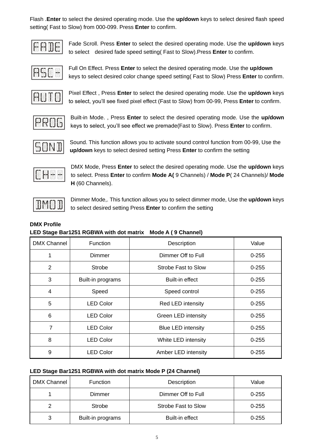Flash .**Enter** to select the desired operating mode. Use the **up/down** keys to select desired flash speed setting( Fast to Slow) from 000-099. Press **Enter** to confirm.

$$
\boxtimes \boxtimes \boxtimes \boxtimes
$$

Fade Scroll. Press **Enter** to select the desired operating mode. Use the **up/down** keys to select desired fade speed setting( Fast to Slow).Press **Enter** to confirm.

$$
\boxtimes \boxtimes \boxtimes
$$

Full On Effect. Press **Enter** to select the desired operating mode. Use the **up/down**  keys to select desired color change speed setting( Fast to Slow) Press **Enter** to confirm.

$$
\mathsf{H}\mathsf{H}\mathsf{H}\mathsf{B}
$$

Pixel Effect , Press **Enter** to select the desired operating mode. Use the **up/down** keys to select, you'll see fixed pixel effect (Fast to Slow) from 00-99, Press **Enter** to confirm.

Built-in Mode. , Press **Enter** to select the desired operating mode. Use the **up/down**  keys to select, you'll see effect we premade(Fast to Slow). Press **Enter** to confirm.

$$
\operatorname{\mathbb{S}\hspace{0.05cm}\mathbf{OMB}}
$$

Sound. This function allows you to activate sound control function from 00-99, Use the **up/down** keys to select desired setting Press **Enter** to confirm the setting

$$
\mathbb{R}\boxtimes\mathbb{R}
$$

DMX Mode, Press **Enter** to select the desired operating mode. Use the **up/down** keys to select. Press **Enter** to confirm **Mode A(** 9 Channels) / **Mode P**( 24 Channels)/ **Mode H** (60 Channels).



Dimmer Mode,. This function allows you to select dimmer mode, Use the **up/down** keys to select desired setting Press **Enter** to confirm the setting

# **DMX Profile**

#### **LED Stage Bar1251 RGBWA with dot matrix Mode A ( 9 Channel)**

| <b>DMX Channel</b> | <b>Function</b>   | Description                | Value     |
|--------------------|-------------------|----------------------------|-----------|
| 1                  | Dimmer            | Dimmer Off to Full         | $0 - 255$ |
| $\overline{2}$     | Strobe            | Strobe Fast to Slow        | $0 - 255$ |
| 3                  | Built-in programs | Built-in effect            | $0 - 255$ |
| 4                  | Speed             | Speed control              | $0 - 255$ |
| 5                  | <b>LED Color</b>  | Red LED intensity          | $0 - 255$ |
| 6                  | <b>LED Color</b>  | <b>Green LED intensity</b> | $0 - 255$ |
| $\overline{7}$     | <b>LED Color</b>  | <b>Blue LED intensity</b>  | $0 - 255$ |
| 8                  | <b>LED Color</b>  | White LED intensity        | $0 - 255$ |
| 9                  | <b>LED Color</b>  | Amber LED intensity        | $0 - 255$ |

#### **LED Stage Bar1251 RGBWA with dot matrix Mode P (24 Channel)**

| <b>DMX Channel</b> | <b>Function</b>   | Description         | Value     |
|--------------------|-------------------|---------------------|-----------|
|                    | Dimmer            | Dimmer Off to Full  | $0 - 255$ |
| 2                  | Strobe            | Strobe Fast to Slow | $0 - 255$ |
| 3                  | Built-in programs | Built-in effect     | $0 - 255$ |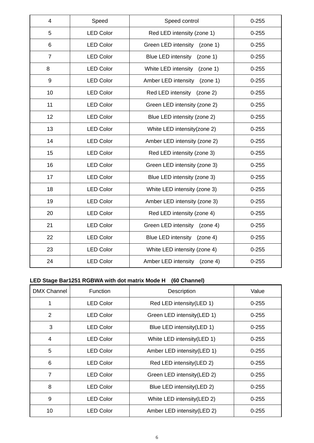| 4              | Speed            | Speed control                         | $0 - 255$ |
|----------------|------------------|---------------------------------------|-----------|
| 5              | <b>LED Color</b> | Red LED intensity (zone 1)            | $0 - 255$ |
| 6              | <b>LED Color</b> | Green LED intensity (zone 1)          | $0 - 255$ |
| $\overline{7}$ | <b>LED Color</b> | <b>Blue LED intensity</b><br>(zone 1) | $0 - 255$ |
| 8              | <b>LED Color</b> | White LED intensity (zone 1)          | $0 - 255$ |
| 9              | <b>LED Color</b> | Amber LED intensity (zone 1)          | $0 - 255$ |
| 10             | <b>LED Color</b> | Red LED intensity (zone 2)            | $0 - 255$ |
| 11             | <b>LED Color</b> | Green LED intensity (zone 2)          | $0 - 255$ |
| 12             | <b>LED Color</b> | Blue LED intensity (zone 2)           | $0 - 255$ |
| 13             | <b>LED Color</b> | White LED intensity(zone 2)           | $0 - 255$ |
| 14             | <b>LED Color</b> | Amber LED intensity (zone 2)          | $0 - 255$ |
| 15             | <b>LED Color</b> | Red LED intensity (zone 3)            | $0 - 255$ |
| 16             | <b>LED Color</b> | Green LED intensity (zone 3)          | $0 - 255$ |
| 17             | <b>LED Color</b> | Blue LED intensity (zone 3)           | $0 - 255$ |
| 18             | <b>LED Color</b> | White LED intensity (zone 3)          | $0 - 255$ |
| 19             | <b>LED Color</b> | Amber LED intensity (zone 3)          | $0 - 255$ |
| 20             | <b>LED Color</b> | Red LED intensity (zone 4)            | $0 - 255$ |
| 21             | <b>LED Color</b> | Green LED intensity (zone 4)          | $0 - 255$ |
| 22             | <b>LED Color</b> | Blue LED intensity (zone 4)           | $0 - 255$ |
| 23             | <b>LED Color</b> | White LED intensity (zone 4)          | $0 - 255$ |
| 24             | <b>LED Color</b> | Amber LED intensity<br>(zone 4)       | $0 - 255$ |

# **LED Stage Bar1251 RGBWA with dot matrix Mode H (60 Channel)**

| <b>DMX Channel</b> | <b>Function</b>  | Description                 | Value     |
|--------------------|------------------|-----------------------------|-----------|
| 1                  | <b>LED Color</b> | Red LED intensity (LED 1)   | $0 - 255$ |
| 2                  | <b>LED Color</b> | Green LED intensity (LED 1) | $0 - 255$ |
| 3                  | <b>LED Color</b> | Blue LED intensity (LED 1)  | $0 - 255$ |
| 4                  | <b>LED Color</b> | White LED intensity (LED 1) | $0 - 255$ |
| 5                  | <b>LED Color</b> | Amber LED intensity(LED 1)  | $0 - 255$ |
| 6                  | <b>LED Color</b> | Red LED intensity (LED 2)   | $0 - 255$ |
| 7                  | <b>LED Color</b> | Green LED intensity (LED 2) | $0 - 255$ |
| 8                  | <b>LED Color</b> | Blue LED intensity (LED 2)  | $0 - 255$ |
| 9                  | <b>LED Color</b> | White LED intensity (LED 2) | $0 - 255$ |
| 10                 | <b>LED Color</b> | Amber LED intensity (LED 2) | $0 - 255$ |